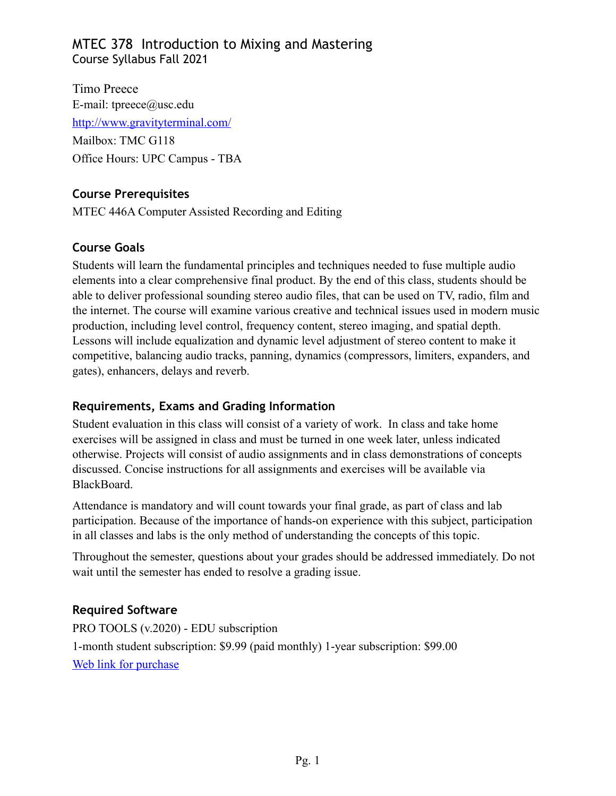Timo Preece E-mail: [tpreece@usc.edu](mailto:tpreece@usc.edu)  <http://www.gravityterminal.com/> Mailbox: TMC G118 Office Hours: UPC Campus - TBA

## **Course Prerequisites**

MTEC 446A Computer Assisted Recording and Editing

## **Course Goals**

Students will learn the fundamental principles and techniques needed to fuse multiple audio elements into a clear comprehensive final product. By the end of this class, students should be able to deliver professional sounding stereo audio files, that can be used on TV, radio, film and the internet. The course will examine various creative and technical issues used in modern music production, including level control, frequency content, stereo imaging, and spatial depth. Lessons will include equalization and dynamic level adjustment of stereo content to make it competitive, balancing audio tracks, panning, dynamics (compressors, limiters, expanders, and gates), enhancers, delays and reverb.

## **Requirements, Exams and Grading Information**

Student evaluation in this class will consist of a variety of work. In class and take home exercises will be assigned in class and must be turned in one week later, unless indicated otherwise. Projects will consist of audio assignments and in class demonstrations of concepts discussed. Concise instructions for all assignments and exercises will be available via BlackBoard.

Attendance is mandatory and will count towards your final grade, as part of class and lab participation. Because of the importance of hands-on experience with this subject, participation in all classes and labs is the only method of understanding the concepts of this topic.

Throughout the semester, questions about your grades should be addressed immediately. Do not wait until the semester has ended to resolve a grading issue.

## **Required Software**

PRO TOOLS (v.2020) - EDU subscription 1-month student subscription: \$9.99 (paid monthly) 1-year subscription: \$99.00 [Web link for purchase](https://www.sweetwater.com/store/detail/PTSubAnnEdu-e--avid-pro-tools-with-1-year-of-updates-and-support-plan-academic-institution-1-year-subscription-download)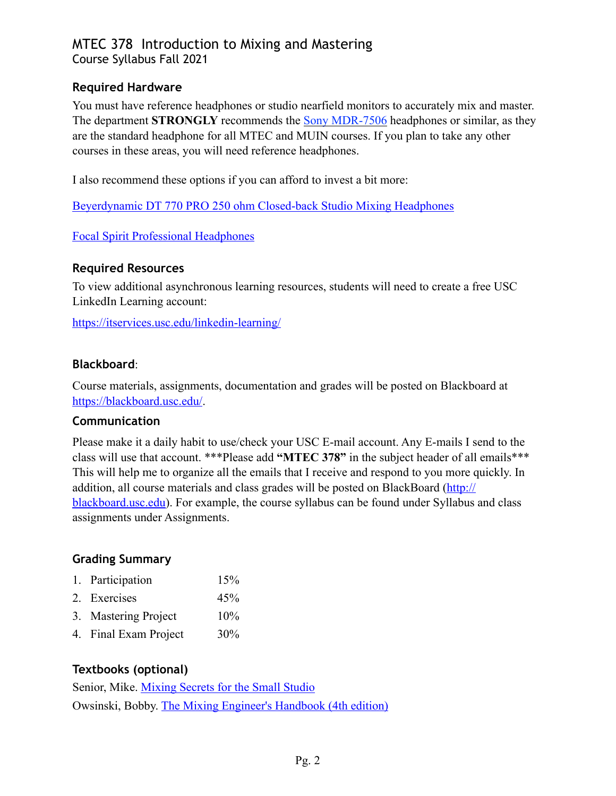## **Required Hardware**

You must have reference headphones or studio nearfield monitors to accurately mix and master. The department **STRONGLY** recommends the **Sony MDR-7506** headphones or similar, as they are the standard headphone for all MTEC and MUIN courses. If you plan to take any other courses in these areas, you will need reference headphones.

I also recommend these options if you can afford to invest a bit more:

[Beyerdynamic DT 770 PRO 250 ohm Closed-back Studio Mixing Headphones](https://www.sweetwater.com/store/detail/DT770pro--beyerdynamic-dt-770-pro-250-ohm-closed-back-studio-mixing-headphones)

## [Focal Spirit Professional Headphones](https://www.focal.com/ca/en/spirit-professional)

## **Required Resources**

To view additional asynchronous learning resources, students will need to create a free USC LinkedIn Learning account:

<https://itservices.usc.edu/linkedin-learning/>

## **Blackboard**:

Course materials, assignments, documentation and grades will be posted on Blackboard at <https://blackboard.usc.edu/>.

#### **Communication**

Please make it a daily habit to use/check your USC E-mail account. Any E-mails I send to the class will use that account. \*\*\*Please add **"MTEC 378"** in the subject header of all emails\*\*\* This will help me to organize all the emails that I receive and respond to you more quickly. In addition, all course materials and class grades will be posted on BlackBoard [\(http://](http://blackboard.usc.edu) [blackboard.usc.edu\)](http://blackboard.usc.edu). For example, the course syllabus can be found under Syllabus and class assignments under Assignments.

## **Grading Summary**

| 1. Participation      | 15% |
|-----------------------|-----|
| 2. Exercises          | 45% |
| 3. Mastering Project  | 10% |
| 4. Final Exam Project | 30% |

## **Textbooks (optional)**

Senior, Mike. [Mixing Secrets for the Small Studio](https://www.amazon.com/Mixing-Secrets-Small-Studio-Presents/dp/1138556378/ref=sr_1_2?keywords=Mixing+Secrets+for+the+Small+Studio&qid=1564449523&s=gateway&sr=8-2) Owsinski, Bobby. [The Mixing Engineer's Handbook \(4th edition\)](https://www.amazon.com/Mixing-Engineers-Handbook-Fourth/dp/0988839180/ref=sr_1_1_sspa?keywords=Mixing+Secrets+for+the+Small+Studio&qid=1564449480&s=gateway&sr=8-1-spons&psc=1&spLa=ZW5jcnlwdGVkUXVhbGlmaWVyPUEyWVBOTUpQS1hOTE9NJmVuY3J5cHRlZElkPUEwMjY1MDkzMlJXME80UzlXMVJIMiZlbmNyeXB0ZWRBZElkPUEwNTU3ODcxM0FUOEJUWkpWRDhSWSZ3aWRnZXROYW1lPXNwX2F0ZiZhY3Rpb249Y2xpY2tSZWRpcmVjdCZkb05vdExvZ0NsaWNrPXRydWU=)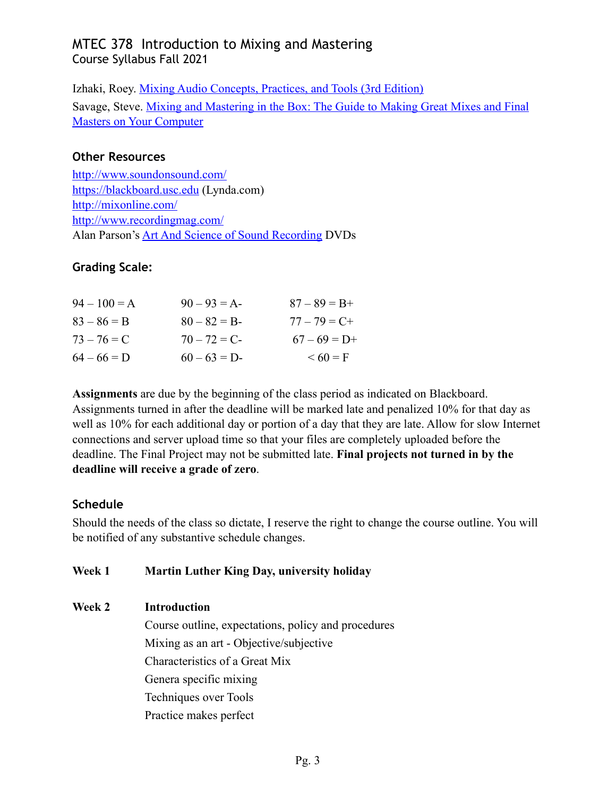Izhaki, Roey. [Mixing Audio Concepts, Practices, and Tools \(3rd Edition\)](https://www.amazon.com/Mixing-Audio-Concepts-Practices-Tools/dp/1138859788/ref=sr_1_fkmr0_1?keywords=Mixing+Audio+Concepts,+Practices,+and+Tools+(3rd+Edition)&qid=1564449548&s=gateway&sr=8-1-fkmr0) Savage, Steve. [Mixing and Mastering in the Box: The Guide to Making Great Mixes and Final](https://www.amazon.com/Mixing-Mastering-Box-Masters-Computer/dp/0199929327/ref=sr_1_1?keywords=Mixing+and+Mastering+in+the+Box:+The+Guide+to+Making+Great+Mixes+and+Final+Masters+on+Your+Computer&qid=1564449578&s=gateway&sr=8-1)  [Masters on Your Computer](https://www.amazon.com/Mixing-Mastering-Box-Masters-Computer/dp/0199929327/ref=sr_1_1?keywords=Mixing+and+Mastering+in+the+Box:+The+Guide+to+Making+Great+Mixes+and+Final+Masters+on+Your+Computer&qid=1564449578&s=gateway&sr=8-1)

## **Other Resources**

<http://www.soundonsound.com/> <https://blackboard.usc.edu>(Lynda.com) <http://mixonline.com/> <http://www.recordingmag.com/> Alan Parson's [Art And Science of Sound Recording](https://www.artandscienceofsound.com/) DVDs

## **Grading Scale:**

| $94 - 100 = A$ | $90 - 93 = A$ | $87 - 89 = B +$ |
|----------------|---------------|-----------------|
| $83 - 86 = B$  | $80 - 82 = B$ | $77 - 79 = C +$ |
| $73 - 76 = C$  | $70 - 72 = C$ | $67 - 69 = D+$  |
| $64 - 66 = D$  | $60 - 63 = D$ | $0.60 = F$      |

**Assignments** are due by the beginning of the class period as indicated on Blackboard. Assignments turned in after the deadline will be marked late and penalized 10% for that day as well as 10% for each additional day or portion of a day that they are late. Allow for slow Internet connections and server upload time so that your files are completely uploaded before the deadline. The Final Project may not be submitted late. **Final projects not turned in by the deadline will receive a grade of zero**.

## **Schedule**

Should the needs of the class so dictate, I reserve the right to change the course outline. You will be notified of any substantive schedule changes.

## **Week 1 Martin Luther King Day, university holiday**

## **Week 2 Introduction**

 Course outline, expectations, policy and procedures Mixing as an art - Objective/subjective Characteristics of a Great Mix Genera specific mixing Techniques over Tools Practice makes perfect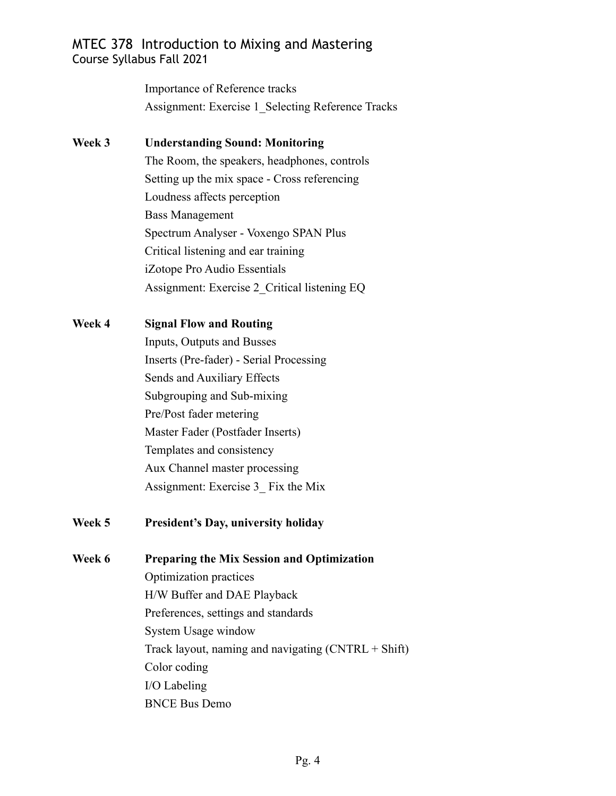Importance of Reference tracks Assignment: Exercise 1 Selecting Reference Tracks

**Week 3 Understanding Sound: Monitoring** The Room, the speakers, headphones, controls Setting up the mix space - Cross referencing Loudness affects perception Bass Management Spectrum Analyser - Voxengo SPAN Plus Critical listening and ear training iZotope Pro Audio Essentials Assignment: Exercise 2\_Critical listening EQ

## **Week 4 Signal Flow and Routing**

 Inputs, Outputs and Busses Inserts (Pre-fader) - Serial Processing Sends and Auxiliary Effects Subgrouping and Sub-mixing Pre/Post fader metering Master Fader (Postfader Inserts) Templates and consistency Aux Channel master processing Assignment: Exercise 3\_ Fix the Mix

## **Week 5 President's Day, university holiday**

**Week 6 Preparing the Mix Session and Optimization** Optimization practices H/W Buffer and DAE Playback Preferences, settings and standards System Usage window Track layout, naming and navigating (CNTRL + Shift) Color coding I/O Labeling BNCE Bus Demo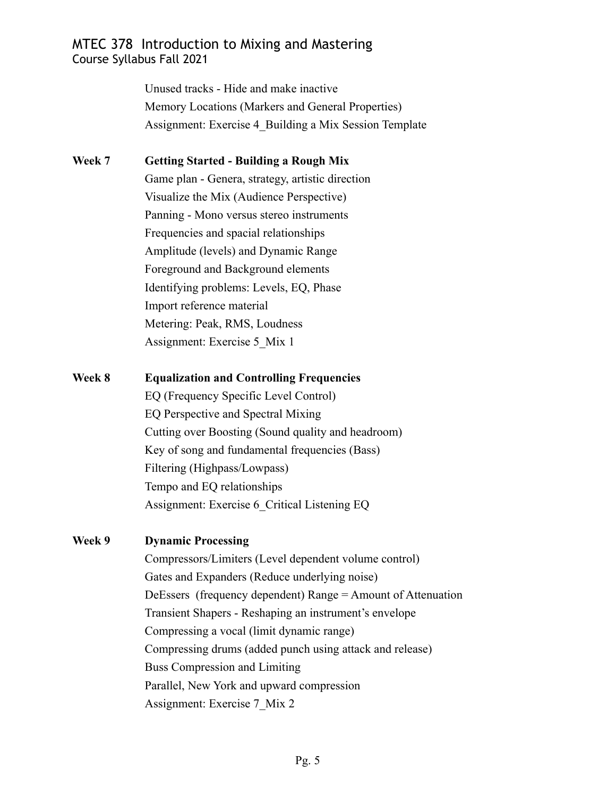Unused tracks - Hide and make inactive Memory Locations (Markers and General Properties) Assignment: Exercise 4\_Building a Mix Session Template

# **Week 7 Getting Started - Building a Rough Mix** Game plan - Genera, strategy, artistic direction Visualize the Mix (Audience Perspective) Panning - Mono versus stereo instruments Frequencies and spacial relationships Amplitude (levels) and Dynamic Range Foreground and Background elements Identifying problems: Levels, EQ, Phase Import reference material Metering: Peak, RMS, Loudness

Assignment: Exercise 5\_Mix 1

## **Week 8 Equalization and Controlling Frequencies**

 EQ (Frequency Specific Level Control) EQ Perspective and Spectral Mixing Cutting over Boosting (Sound quality and headroom) Key of song and fundamental frequencies (Bass) Filtering (Highpass/Lowpass) Tempo and EQ relationships Assignment: Exercise 6\_Critical Listening EQ

## **Week 9 Dynamic Processing**

 Compressors/Limiters (Level dependent volume control) Gates and Expanders (Reduce underlying noise) DeEssers (frequency dependent) Range = Amount of Attenuation Transient Shapers - Reshaping an instrument's envelope Compressing a vocal (limit dynamic range) Compressing drums (added punch using attack and release) Buss Compression and Limiting Parallel, New York and upward compression Assignment: Exercise 7\_Mix 2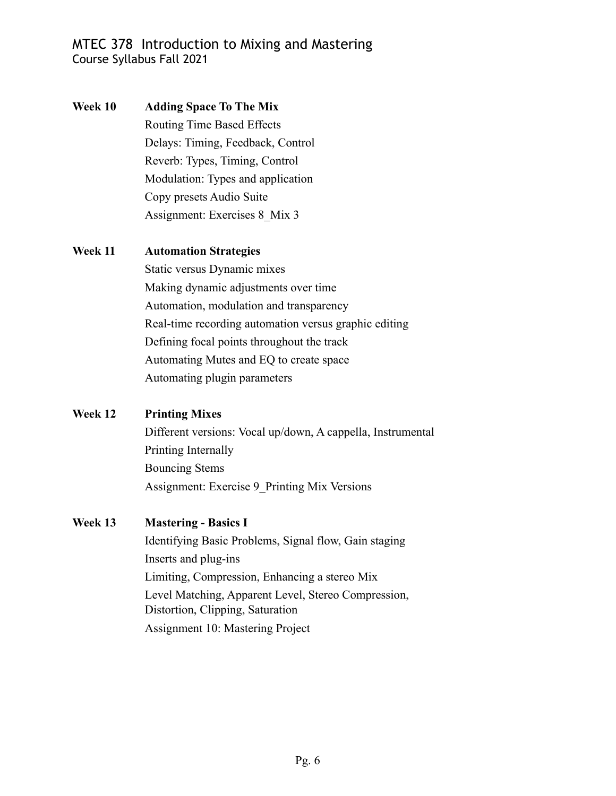**Week 10 Adding Space To The Mix**  Routing Time Based Effects Delays: Timing, Feedback, Control Reverb: Types, Timing, Control Modulation: Types and application Copy presets Audio Suite Assignment: Exercises 8\_Mix 3

#### **Week 11 Automation Strategies**

 Static versus Dynamic mixes Making dynamic adjustments over time Automation, modulation and transparency Real-time recording automation versus graphic editing Defining focal points throughout the track Automating Mutes and EQ to create space Automating plugin parameters

## **Week 12 Printing Mixes**

 Different versions: Vocal up/down, A cappella, Instrumental Printing Internally Bouncing Stems Assignment: Exercise 9\_Printing Mix Versions

## **Week 13 Mastering - Basics I**

 Identifying Basic Problems, Signal flow, Gain staging Inserts and plug-ins Limiting, Compression, Enhancing a stereo Mix Level Matching, Apparent Level, Stereo Compression, Distortion, Clipping, Saturation Assignment 10: Mastering Project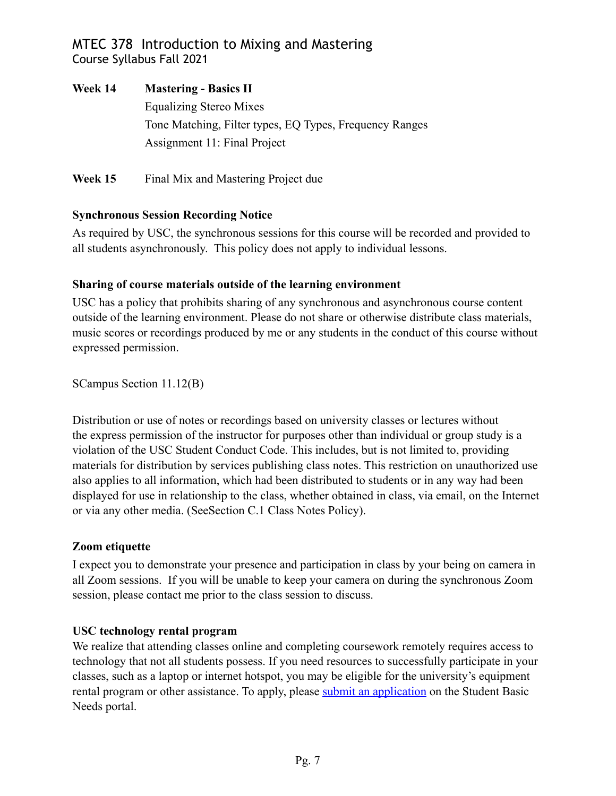**Week 14 Mastering - Basics II**  Equalizing Stereo Mixes Tone Matching, Filter types, EQ Types, Frequency Ranges Assignment 11: Final Project

**Week 15** Final Mix and Mastering Project due

## **Synchronous Session Recording Notice**

As required by USC, the synchronous sessions for this course will be recorded and provided to all students asynchronously. This policy does not apply to individual lessons.

## **Sharing of course materials outside of the learning environment**

USC has a policy that prohibits sharing of any synchronous and asynchronous course content outside of the learning environment. Please do not share or otherwise distribute class materials, music scores or recordings produced by me or any students in the conduct of this course without expressed permission.

SCampus Section 11.12(B)

Distribution or use of notes or recordings based on university classes or lectures without the express permission of the instructor for purposes other than individual or group study is a violation of the USC Student Conduct Code. This includes, but is not limited to, providing materials for distribution by services publishing class notes. This restriction on unauthorized use also applies to all information, which had been distributed to students or in any way had been displayed for use in relationship to the class, whether obtained in class, via email, on the Internet or via any other media. (SeeSection C.1 Class Notes Policy).

## **Zoom etiquette**

I expect you to demonstrate your presence and participation in class by your being on camera in all Zoom sessions. If you will be unable to keep your camera on during the synchronous Zoom session, please contact me prior to the class session to discuss.

## **USC technology rental program**

We realize that attending classes online and completing coursework remotely requires access to technology that not all students possess. If you need resources to successfully participate in your classes, such as a laptop or internet hotspot, you may be eligible for the university's equipment rental program or other assistance. To apply, please [submit an application](https://studentbasicneeds.usc.edu/resources/technology-assistance/) on the Student Basic Needs portal.